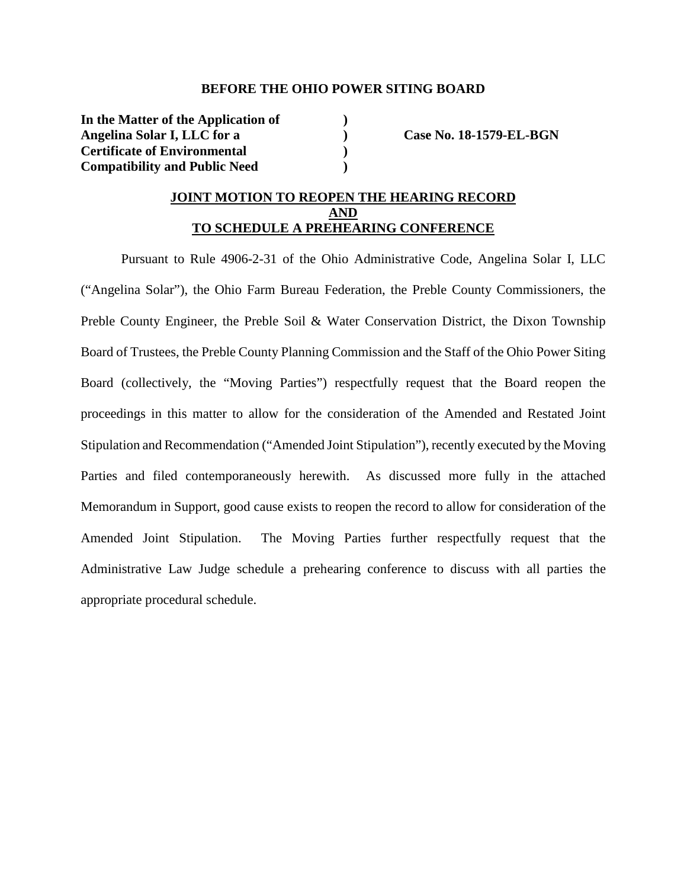## **BEFORE THE OHIO POWER SITING BOARD**

**In the Matter of the Application of ) Angelina Solar I, LLC for a ) Case No. 18-1579-EL-BGN Certificate of Environmental ) Compatibility and Public Need )** 

# **JOINT MOTION TO REOPEN THE HEARING RECORD AND TO SCHEDULE A PREHEARING CONFERENCE**

Pursuant to Rule 4906-2-31 of the Ohio Administrative Code, Angelina Solar I, LLC ("Angelina Solar"), the Ohio Farm Bureau Federation, the Preble County Commissioners, the Preble County Engineer, the Preble Soil & Water Conservation District, the Dixon Township Board of Trustees, the Preble County Planning Commission and the Staff of the Ohio Power Siting Board (collectively, the "Moving Parties") respectfully request that the Board reopen the proceedings in this matter to allow for the consideration of the Amended and Restated Joint Stipulation and Recommendation ("Amended Joint Stipulation"), recently executed by the Moving Parties and filed contemporaneously herewith. As discussed more fully in the attached Memorandum in Support, good cause exists to reopen the record to allow for consideration of the Amended Joint Stipulation. The Moving Parties further respectfully request that the Administrative Law Judge schedule a prehearing conference to discuss with all parties the appropriate procedural schedule.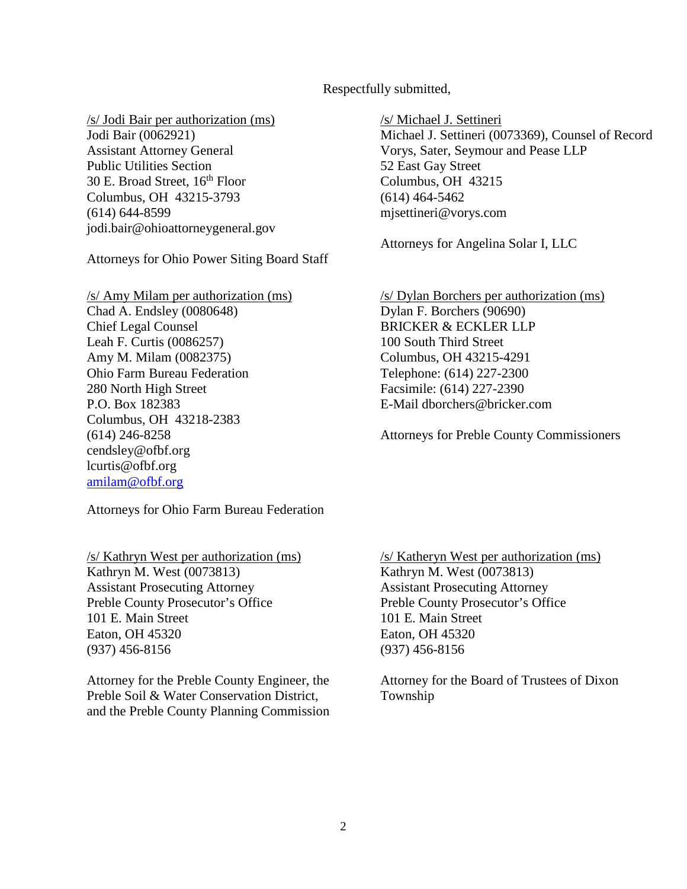# Respectfully submitted,

## /s/ Jodi Bair per authorization (ms)

Jodi Bair (0062921) Assistant Attorney General Public Utilities Section 30 E. Broad Street, 16<sup>th</sup> Floor Columbus, OH 43215-3793 (614) 644-8599 jodi.bair@ohioattorneygeneral.gov

Attorneys for Ohio Power Siting Board Staff

/s/ Amy Milam per authorization (ms) Chad A. Endsley (0080648) Chief Legal Counsel Leah F. Curtis (0086257) Amy M. Milam (0082375) Ohio Farm Bureau Federation 280 North High Street P.O. Box 182383 Columbus, OH 43218-2383 (614) 246-8258 cendsley@ofbf.org lcurtis@ofbf.org amilam@ofbf.org

Attorneys for Ohio Farm Bureau Federation

/s/ Kathryn West per authorization (ms) Kathryn M. West (0073813) Assistant Prosecuting Attorney Preble County Prosecutor's Office 101 E. Main Street Eaton, OH 45320 (937) 456-8156

Attorney for the Preble County Engineer, the Preble Soil & Water Conservation District, and the Preble County Planning Commission /s/ Michael J. Settineri

Michael J. Settineri (0073369), Counsel of Record Vorys, Sater, Seymour and Pease LLP 52 East Gay Street Columbus, OH 43215 (614) 464-5462 mjsettineri@vorys.com

Attorneys for Angelina Solar I, LLC

/s/ Dylan Borchers per authorization (ms) Dylan F. Borchers (90690) BRICKER & ECKLER LLP 100 South Third Street Columbus, OH 43215-4291 Telephone: (614) 227-2300 Facsimile: (614) 227-2390 E-Mail dborchers@bricker.com

Attorneys for Preble County Commissioners

/s/ Katheryn West per authorization (ms) Kathryn M. West (0073813) Assistant Prosecuting Attorney Preble County Prosecutor's Office 101 E. Main Street Eaton, OH 45320 (937) 456-8156

Attorney for the Board of Trustees of Dixon Township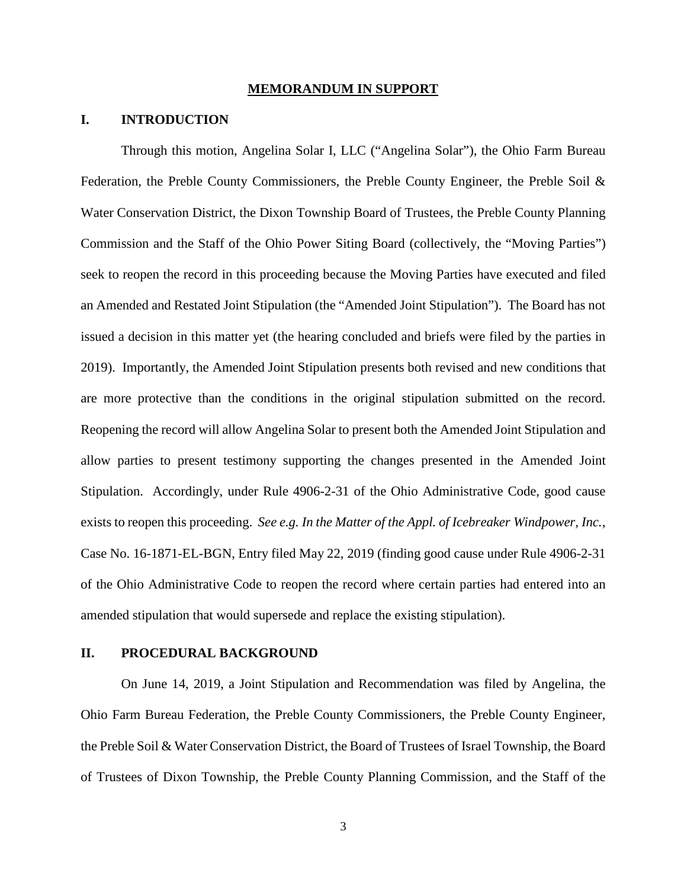#### **MEMORANDUM IN SUPPORT**

# **I. INTRODUCTION**

Through this motion, Angelina Solar I, LLC ("Angelina Solar"), the Ohio Farm Bureau Federation, the Preble County Commissioners, the Preble County Engineer, the Preble Soil & Water Conservation District, the Dixon Township Board of Trustees, the Preble County Planning Commission and the Staff of the Ohio Power Siting Board (collectively, the "Moving Parties") seek to reopen the record in this proceeding because the Moving Parties have executed and filed an Amended and Restated Joint Stipulation (the "Amended Joint Stipulation"). The Board has not issued a decision in this matter yet (the hearing concluded and briefs were filed by the parties in 2019). Importantly, the Amended Joint Stipulation presents both revised and new conditions that are more protective than the conditions in the original stipulation submitted on the record. Reopening the record will allow Angelina Solar to present both the Amended Joint Stipulation and allow parties to present testimony supporting the changes presented in the Amended Joint Stipulation. Accordingly, under Rule 4906-2-31 of the Ohio Administrative Code, good cause exists to reopen this proceeding. *See e.g. In the Matter of the Appl. of Icebreaker Windpower, Inc.*, Case No. 16-1871-EL-BGN, Entry filed May 22, 2019 (finding good cause under Rule 4906-2-31 of the Ohio Administrative Code to reopen the record where certain parties had entered into an amended stipulation that would supersede and replace the existing stipulation).

## **II. PROCEDURAL BACKGROUND**

On June 14, 2019, a Joint Stipulation and Recommendation was filed by Angelina, the Ohio Farm Bureau Federation, the Preble County Commissioners, the Preble County Engineer, the Preble Soil & Water Conservation District, the Board of Trustees of Israel Township, the Board of Trustees of Dixon Township, the Preble County Planning Commission, and the Staff of the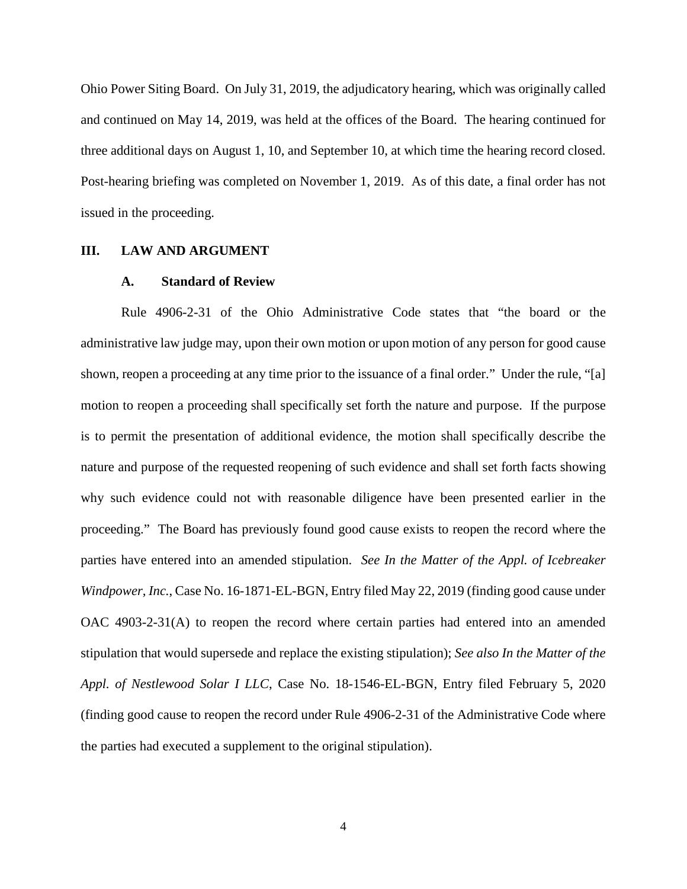Ohio Power Siting Board. On July 31, 2019, the adjudicatory hearing, which was originally called and continued on May 14, 2019, was held at the offices of the Board. The hearing continued for three additional days on August 1, 10, and September 10, at which time the hearing record closed. Post-hearing briefing was completed on November 1, 2019. As of this date, a final order has not issued in the proceeding.

#### **III. LAW AND ARGUMENT**

#### **A. Standard of Review**

Rule 4906-2-31 of the Ohio Administrative Code states that "the board or the administrative law judge may, upon their own motion or upon motion of any person for good cause shown, reopen a proceeding at any time prior to the issuance of a final order." Under the rule, "[a] motion to reopen a proceeding shall specifically set forth the nature and purpose. If the purpose is to permit the presentation of additional evidence, the motion shall specifically describe the nature and purpose of the requested reopening of such evidence and shall set forth facts showing why such evidence could not with reasonable diligence have been presented earlier in the proceeding." The Board has previously found good cause exists to reopen the record where the parties have entered into an amended stipulation. *See In the Matter of the Appl. of Icebreaker Windpower, Inc.*, Case No. 16-1871-EL-BGN, Entry filed May 22, 2019 (finding good cause under OAC 4903-2-31(A) to reopen the record where certain parties had entered into an amended stipulation that would supersede and replace the existing stipulation); *See also In the Matter of the Appl. of Nestlewood Solar I LLC*, Case No. 18-1546-EL-BGN, Entry filed February 5, 2020 (finding good cause to reopen the record under Rule 4906-2-31 of the Administrative Code where the parties had executed a supplement to the original stipulation).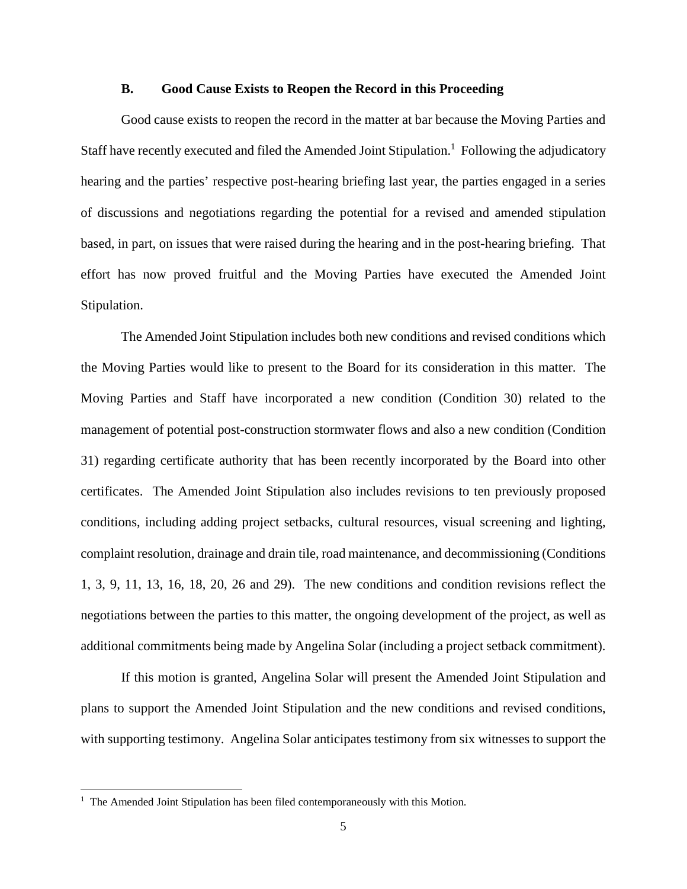## **B. Good Cause Exists to Reopen the Record in this Proceeding**

Good cause exists to reopen the record in the matter at bar because the Moving Parties and Staff have recently executed and filed the Amended Joint Stipulation.<sup>1</sup> Following the adjudicatory hearing and the parties' respective post-hearing briefing last year, the parties engaged in a series of discussions and negotiations regarding the potential for a revised and amended stipulation based, in part, on issues that were raised during the hearing and in the post-hearing briefing. That effort has now proved fruitful and the Moving Parties have executed the Amended Joint Stipulation.

The Amended Joint Stipulation includes both new conditions and revised conditions which the Moving Parties would like to present to the Board for its consideration in this matter. The Moving Parties and Staff have incorporated a new condition (Condition 30) related to the management of potential post-construction stormwater flows and also a new condition (Condition 31) regarding certificate authority that has been recently incorporated by the Board into other certificates. The Amended Joint Stipulation also includes revisions to ten previously proposed conditions, including adding project setbacks, cultural resources, visual screening and lighting, complaint resolution, drainage and drain tile, road maintenance, and decommissioning (Conditions 1, 3, 9, 11, 13, 16, 18, 20, 26 and 29). The new conditions and condition revisions reflect the negotiations between the parties to this matter, the ongoing development of the project, as well as additional commitments being made by Angelina Solar (including a project setback commitment).

If this motion is granted, Angelina Solar will present the Amended Joint Stipulation and plans to support the Amended Joint Stipulation and the new conditions and revised conditions, with supporting testimony. Angelina Solar anticipates testimony from six witnesses to support the

<sup>&</sup>lt;sup>1</sup> The Amended Joint Stipulation has been filed contemporaneously with this Motion.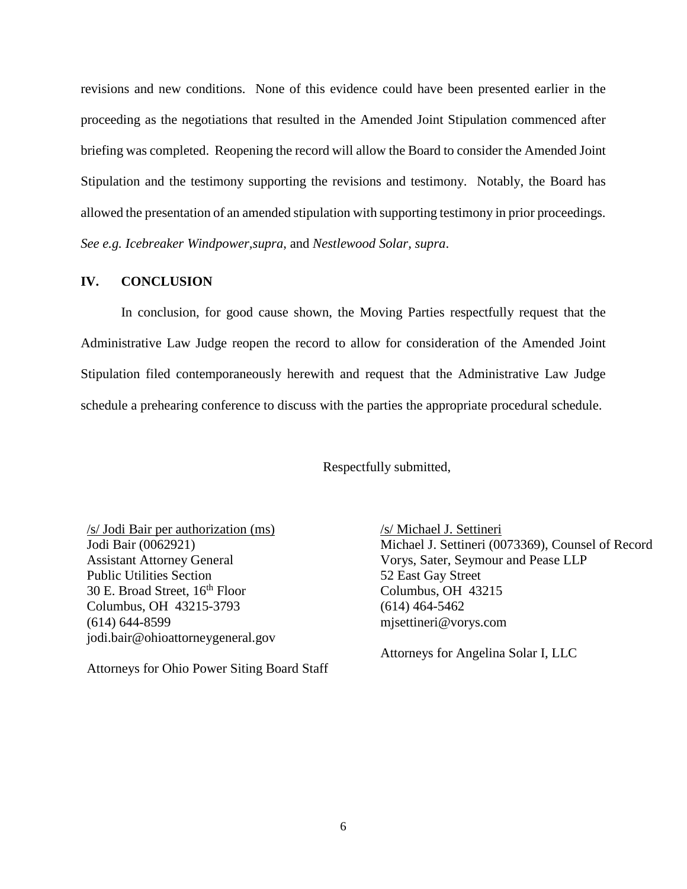revisions and new conditions. None of this evidence could have been presented earlier in the proceeding as the negotiations that resulted in the Amended Joint Stipulation commenced after briefing was completed. Reopening the record will allow the Board to consider the Amended Joint Stipulation and the testimony supporting the revisions and testimony. Notably, the Board has allowed the presentation of an amended stipulation with supporting testimony in prior proceedings. *See e.g. Icebreaker Windpower,supra*, and *Nestlewood Solar, supra*.

## **IV. CONCLUSION**

In conclusion, for good cause shown, the Moving Parties respectfully request that the Administrative Law Judge reopen the record to allow for consideration of the Amended Joint Stipulation filed contemporaneously herewith and request that the Administrative Law Judge schedule a prehearing conference to discuss with the parties the appropriate procedural schedule.

Respectfully submitted,

/s/ Jodi Bair per authorization (ms) Jodi Bair (0062921) Assistant Attorney General Public Utilities Section 30 E. Broad Street, 16<sup>th</sup> Floor Columbus, OH 43215-3793 (614) 644-8599 jodi.bair@ohioattorneygeneral.gov

Attorneys for Ohio Power Siting Board Staff

/s/ Michael J. Settineri Michael J. Settineri (0073369), Counsel of Record Vorys, Sater, Seymour and Pease LLP 52 East Gay Street Columbus, OH 43215 (614) 464-5462 mjsettineri@vorys.com

Attorneys for Angelina Solar I, LLC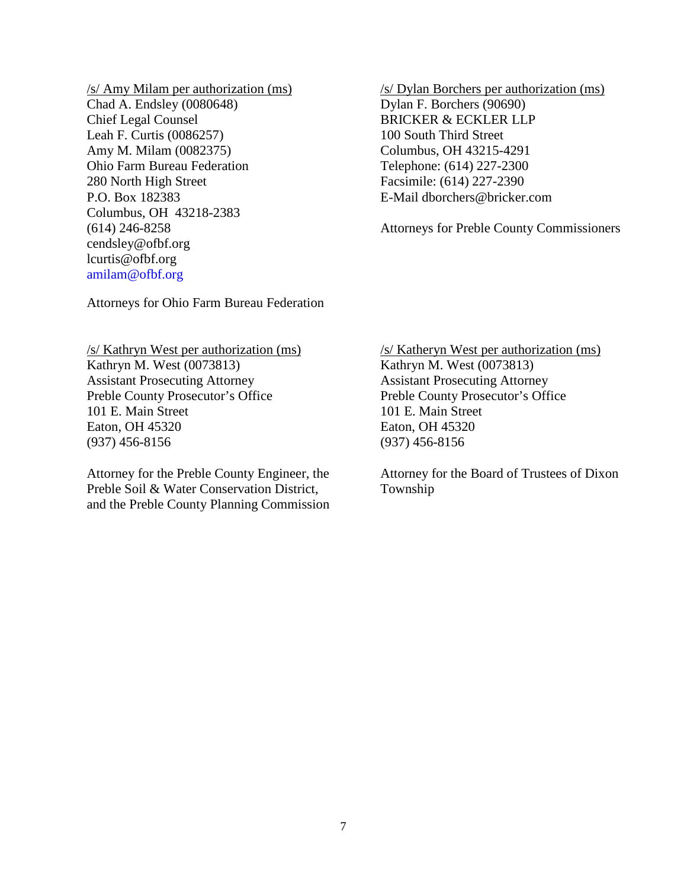/s/ Amy Milam per authorization (ms) Chad A. Endsley (0080648) Chief Legal Counsel Leah F. Curtis (0086257) Amy M. Milam (0082375) Ohio Farm Bureau Federation 280 North High Street P.O. Box 182383 Columbus, OH 43218-2383 (614) 246-8258 cendsley@ofbf.org lcurtis@ofbf.org amilam@ofbf.org

/s/ Dylan Borchers per authorization (ms) Dylan F. Borchers (90690) BRICKER & ECKLER LLP 100 South Third Street Columbus, OH 43215-4291 Telephone: (614) 227-2300 Facsimile: (614) 227-2390 E-Mail dborchers@bricker.com

Attorneys for Preble County Commissioners

Attorneys for Ohio Farm Bureau Federation

/s/ Kathryn West per authorization (ms) Kathryn M. West (0073813) Assistant Prosecuting Attorney Preble County Prosecutor's Office 101 E. Main Street Eaton, OH 45320 (937) 456-8156

Attorney for the Preble County Engineer, the Preble Soil & Water Conservation District, and the Preble County Planning Commission /s/ Katheryn West per authorization (ms) Kathryn M. West (0073813) Assistant Prosecuting Attorney Preble County Prosecutor's Office 101 E. Main Street Eaton, OH 45320 (937) 456-8156

Attorney for the Board of Trustees of Dixon Township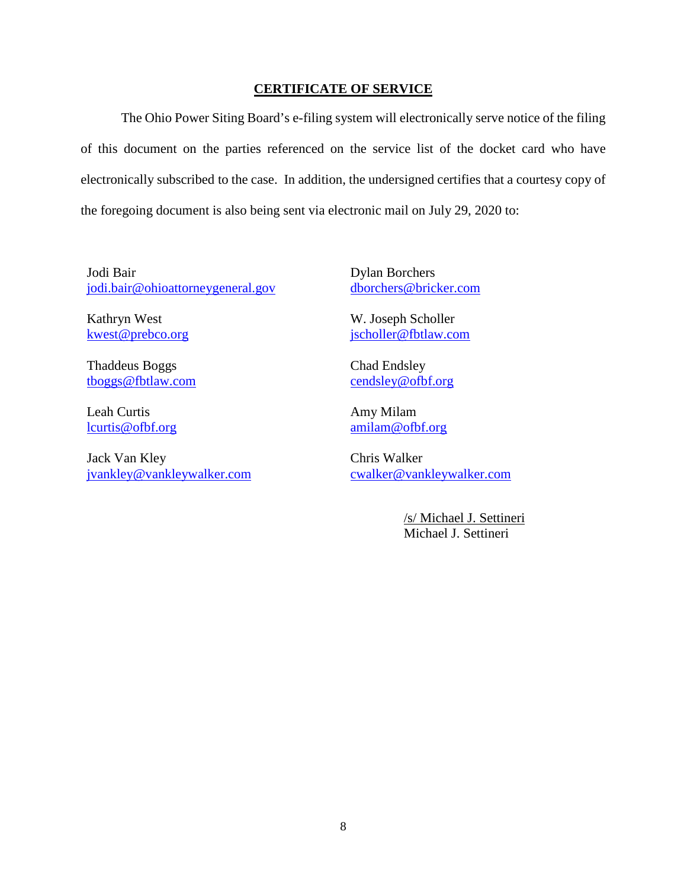# **CERTIFICATE OF SERVICE**

The Ohio Power Siting Board's e-filing system will electronically serve notice of the filing of this document on the parties referenced on the service list of the docket card who have electronically subscribed to the case. In addition, the undersigned certifies that a courtesy copy of the foregoing document is also being sent via electronic mail on July 29, 2020 to:

Jodi Bair jodi.bair@ohioattorneygeneral.gov

Kathryn West kwest@prebco.org

Thaddeus Boggs tboggs@fbtlaw.com

Leah Curtis lcurtis@ofbf.org

Jack Van Kley jvankley@vankleywalker.com Dylan Borchers dborchers@bricker.com

W. Joseph Scholler jscholler@fbtlaw.com

Chad Endsley cendsley@ofbf.org

Amy Milam amilam@ofbf.org

Chris Walker cwalker@vankleywalker.com

> /s/ Michael J. Settineri Michael J. Settineri